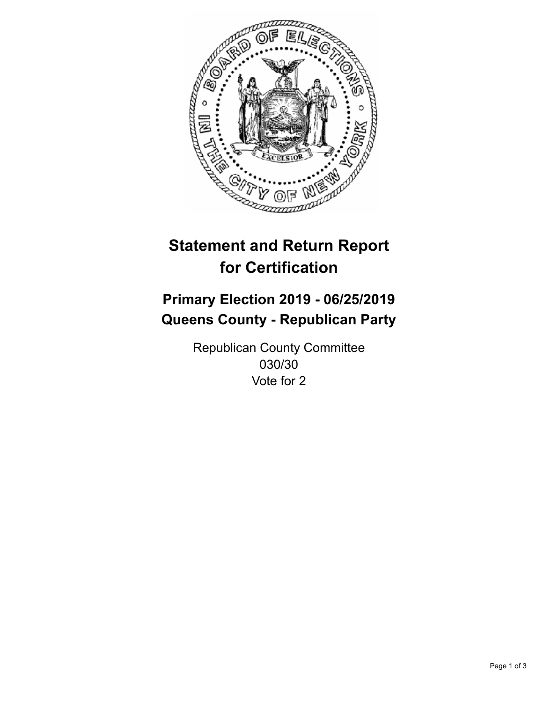

## **Statement and Return Report for Certification**

## **Primary Election 2019 - 06/25/2019 Queens County - Republican Party**

Republican County Committee 030/30 Vote for 2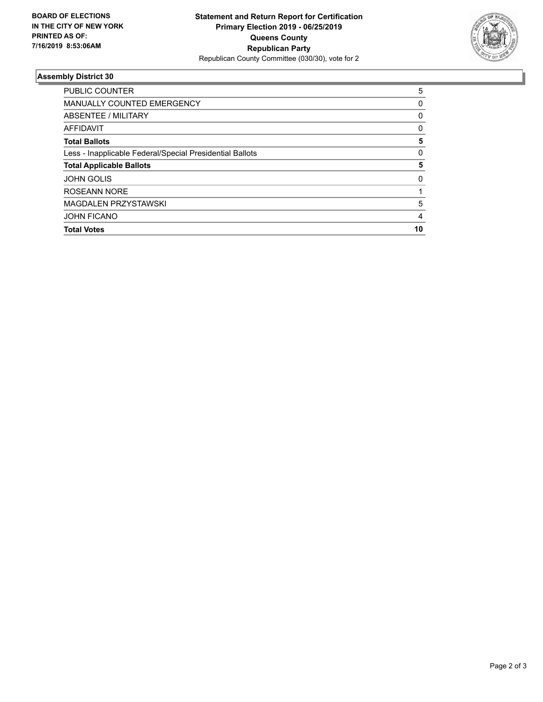

## **Assembly District 30**

| PUBLIC COUNTER                                           | 5  |
|----------------------------------------------------------|----|
| <b>MANUALLY COUNTED EMERGENCY</b>                        | 0  |
| ABSENTEE / MILITARY                                      | 0  |
| <b>AFFIDAVIT</b>                                         | 0  |
| <b>Total Ballots</b>                                     | 5  |
| Less - Inapplicable Federal/Special Presidential Ballots | 0  |
| <b>Total Applicable Ballots</b>                          | 5  |
| <b>JOHN GOLIS</b>                                        | 0  |
| ROSEANN NORE                                             |    |
| MAGDALEN PRZYSTAWSKI                                     | 5  |
| <b>JOHN FICANO</b>                                       | 4  |
| <b>Total Votes</b>                                       | 10 |